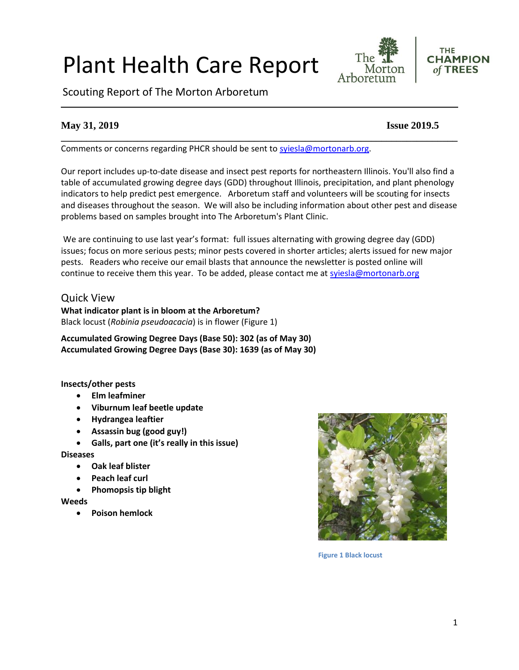#### 1

# Plant Health Care Report

Scouting Report of The Morton Arboretum

# **May 31, 2019 Issue 2019.5**

Comments or concerns regarding PHCR should be sent to [syiesla@mortonarb.org.](mailto:syiesla@mortonarb.org)

Our report includes up-to-date disease and insect pest reports for northeastern Illinois. You'll also find a table of accumulated growing degree days (GDD) throughout Illinois, precipitation, and plant phenology indicators to help predict pest emergence. Arboretum staff and volunteers will be scouting for insects and diseases throughout the season. We will also be including information about other pest and disease problems based on samples brought into The Arboretum's Plant Clinic.

**\_\_\_\_\_\_\_\_\_\_\_\_\_\_\_\_\_\_\_\_\_\_\_\_\_\_\_\_\_\_\_\_\_\_\_\_\_\_\_\_\_\_\_\_\_\_\_\_\_\_\_\_\_\_\_\_\_\_\_\_\_\_\_\_\_\_\_\_\_\_\_\_\_\_\_\_\_\_**

We are continuing to use last year's format: full issues alternating with growing degree day (GDD) issues; focus on more serious pests; minor pests covered in shorter articles; alerts issued for new major pests. Readers who receive our email blasts that announce the newsletter is posted online will continue to receive them this year. To be added, please contact me at [syiesla@mortonarb.org](mailto:syiesla@mortonarb.org)

### Quick View

**What indicator plant is in bloom at the Arboretum?** Black locust (*Robinia pseudoacacia*) is in flower (Figure 1)

**Accumulated Growing Degree Days (Base 50): 302 (as of May 30) Accumulated Growing Degree Days (Base 30): 1639 (as of May 30)**

#### **Insects/other pests**

- **Elm leafminer**
- **Viburnum leaf beetle update**
- **Hydrangea leaftier**
- **Assassin bug (good guy!)**
- **Galls, part one (it's really in this issue)**

#### **Diseases**

- **Oak leaf blister**
- **Peach leaf curl**
- **Phomopsis tip blight**

#### **Weeds**

• **Poison hemlock**



**Figure 1 Black locust**

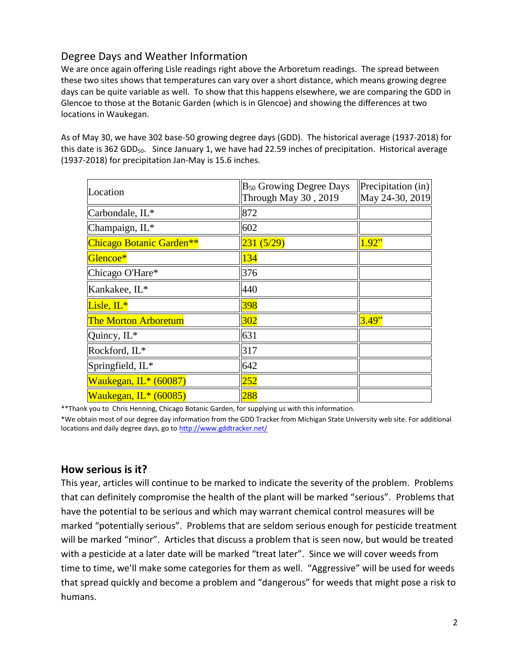# Degree Days and Weather Information

We are once again offering Lisle readings right above the Arboretum readings. The spread between these two sites shows that temperatures can vary over a short distance, which means growing degree days can be quite variable as well. To show that this happens elsewhere, we are comparing the GDD in Glencoe to those at the Botanic Garden (which is in Glencoe) and showing the differences at two locations in Waukegan.

As of May 30, we have 302 base-50 growing degree days (GDD). The historical average (1937-2018) for this date is 362 GDD<sub>50</sub>. Since January 1, we have had 22.59 inches of precipitation. Historical average (1937-2018) for precipitation Jan-May is 15.6 inches.

| Location                    | B <sub>50</sub> Growing Degree Days<br>Through May 30, 2019 | Precipitation (in)<br>May 24-30, 2019 |
|-----------------------------|-------------------------------------------------------------|---------------------------------------|
| Carbondale, IL*             | 872                                                         |                                       |
| Champaign, IL*              | 602                                                         |                                       |
| Chicago Botanic Garden**    | 231(5/29)                                                   | 1.92"                                 |
| Glencoe*                    | 134                                                         |                                       |
| Chicago O'Hare*             | 376                                                         |                                       |
| Kankakee, IL*               | 440                                                         |                                       |
| Lisle, $IL^*$               | 398                                                         |                                       |
| <b>The Morton Arboretum</b> | 302                                                         | 3.49"                                 |
| Quincy, IL*                 | 631                                                         |                                       |
| Rockford, IL*               | 317                                                         |                                       |
| Springfield, IL*            | 642                                                         |                                       |
| Waukegan, IL* (60087)       | 252                                                         |                                       |
| Waukegan, $IL*(60085)$      | 288                                                         |                                       |

\*\*Thank you to Chris Henning, Chicago Botanic Garden, for supplying us with this information.

\*We obtain most of our degree day information from the GDD Tracker from Michigan State University web site. For additional locations and daily degree days, go t[o http://www.gddtracker.net/](http://www.gddtracker.net/)

### **How serious is it?**

This year, articles will continue to be marked to indicate the severity of the problem. Problems that can definitely compromise the health of the plant will be marked "serious".Problems that have the potential to be serious and which may warrant chemical control measures will be marked "potentially serious". Problems that are seldom serious enough for pesticide treatment will be marked "minor". Articles that discuss a problem that is seen now, but would be treated with a pesticide at a later date will be marked "treat later". Since we will cover weeds from time to time, we'll make some categories for them as well. "Aggressive" will be used for weeds that spread quickly and become a problem and "dangerous" for weeds that might pose a risk to humans.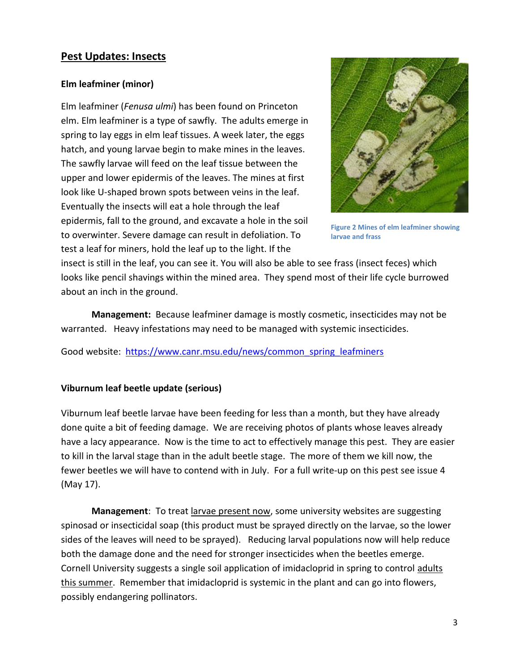# **Pest Updates: Insects**

#### **Elm leafminer (minor)**

Elm leafminer (*Fenusa ulmi*) has been found on Princeton elm. Elm leafminer is a type of sawfly. The adults emerge in spring to lay eggs in elm leaf tissues. A week later, the eggs hatch, and young larvae begin to make mines in the leaves. The sawfly larvae will feed on the leaf tissue between the upper and lower epidermis of the leaves. The mines at first look like U-shaped brown spots between veins in the leaf. Eventually the insects will eat a hole through the leaf epidermis, fall to the ground, and excavate a hole in the soil to overwinter. Severe damage can result in defoliation. To test a leaf for miners, hold the leaf up to the light. If the



**Figure 2 Mines of elm leafminer showing larvae and frass**

insect is still in the leaf, you can see it. You will also be able to see frass (insect feces) which looks like pencil shavings within the mined area. They spend most of their life cycle burrowed about an inch in the ground.

**Management:** Because leafminer damage is mostly cosmetic, insecticides may not be warranted. Heavy infestations may need to be managed with systemic insecticides.

Good website: [https://www.canr.msu.edu/news/common\\_spring\\_leafminers](https://www.canr.msu.edu/news/common_spring_leafminers)

#### **Viburnum leaf beetle update (serious)**

Viburnum leaf beetle larvae have been feeding for less than a month, but they have already done quite a bit of feeding damage. We are receiving photos of plants whose leaves already have a lacy appearance. Now is the time to act to effectively manage this pest. They are easier to kill in the larval stage than in the adult beetle stage. The more of them we kill now, the fewer beetles we will have to contend with in July. For a full write-up on this pest see issue 4 (May 17).

**Management**: To treat larvae present now, some university websites are suggesting spinosad or insecticidal soap (this product must be sprayed directly on the larvae, so the lower sides of the leaves will need to be sprayed). Reducing larval populations now will help reduce both the damage done and the need for stronger insecticides when the beetles emerge. Cornell University suggests a single soil application of imidacloprid in spring to control adults this summer. Remember that imidacloprid is systemic in the plant and can go into flowers, possibly endangering pollinators.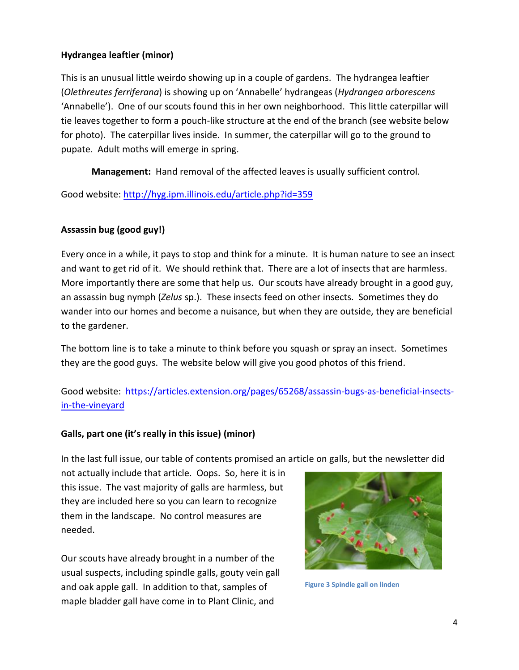## **Hydrangea leaftier (minor)**

This is an unusual little weirdo showing up in a couple of gardens. The hydrangea leaftier (*Olethreutes ferriferana*) is showing up on 'Annabelle' hydrangeas (*Hydrangea arborescens* 'Annabelle'). One of our scouts found this in her own neighborhood. This little caterpillar will tie leaves together to form a pouch-like structure at the end of the branch (see website below for photo). The caterpillar lives inside. In summer, the caterpillar will go to the ground to pupate. Adult moths will emerge in spring.

**Management:** Hand removal of the affected leaves is usually sufficient control.

Good website:<http://hyg.ipm.illinois.edu/article.php?id=359>

# **Assassin bug (good guy!)**

Every once in a while, it pays to stop and think for a minute. It is human nature to see an insect and want to get rid of it. We should rethink that. There are a lot of insects that are harmless. More importantly there are some that help us. Our scouts have already brought in a good guy, an assassin bug nymph (*Zelus* sp.). These insects feed on other insects. Sometimes they do wander into our homes and become a nuisance, but when they are outside, they are beneficial to the gardener.

The bottom line is to take a minute to think before you squash or spray an insect. Sometimes they are the good guys. The website below will give you good photos of this friend.

# Good website: [https://articles.extension.org/pages/65268/assassin-bugs-as-beneficial-insects](https://articles.extension.org/pages/65268/assassin-bugs-as-beneficial-insects-in-the-vineyard)[in-the-vineyard](https://articles.extension.org/pages/65268/assassin-bugs-as-beneficial-insects-in-the-vineyard)

### **Galls, part one (it's really in this issue) (minor)**

In the last full issue, our table of contents promised an article on galls, but the newsletter did

not actually include that article. Oops. So, here it is in this issue. The vast majority of galls are harmless, but they are included here so you can learn to recognize them in the landscape. No control measures are needed.

Our scouts have already brought in a number of the usual suspects, including spindle galls, gouty vein gall and oak apple gall. In addition to that, samples of maple bladder gall have come in to Plant Clinic, and



**Figure 3 Spindle gall on linden**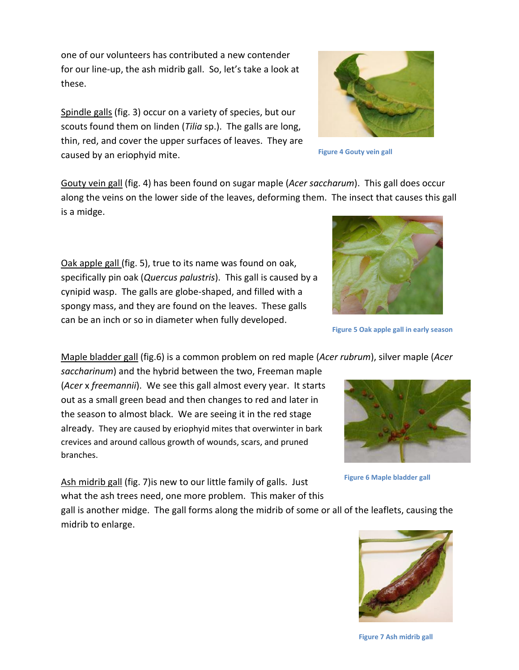one of our volunteers has contributed a new contender for our line-up, the ash midrib gall. So, let's take a look at these.

Spindle galls (fig. 3) occur on a variety of species, but our scouts found them on linden (*Tilia* sp.). The galls are long, thin, red, and cover the upper surfaces of leaves. They are caused by an eriophyid mite.

Gouty vein gall (fig. 4) has been found on sugar maple (*Acer saccharum*). This gall does occur along the veins on the lower side of the leaves, deforming them. The insect that causes this gall is a midge.

Oak apple gall (fig. 5), true to its name was found on oak, specifically pin oak (*Quercus palustris*). This gall is caused by a cynipid wasp. The galls are globe-shaped, and filled with a spongy mass, and they are found on the leaves. These galls can be an inch or so in diameter when fully developed.

Maple bladder gall (fig.6) is a common problem on red maple (*Acer rubrum*), silver maple (*Acer* 

*saccharinum*) and the hybrid between the two, Freeman maple (*Acer* x *freemannii*). We see this gall almost every year. It starts out as a small green bead and then changes to red and later in the season to almost black. We are seeing it in the red stage already. They are caused by eriophyid mites that overwinter in bark crevices and around callous growth of wounds, scars, and pruned branches.

Ash midrib gall (fig. 7) is new to our little family of galls. Just what the ash trees need, one more problem. This maker of this

gall is another midge. The gall forms along the midrib of some or all of the leaflets, causing the midrib to enlarge.

**Figure 6 Maple bladder gall**







**Figure 4 Gouty vein gall**

**Figure 7 Ash midrib gall**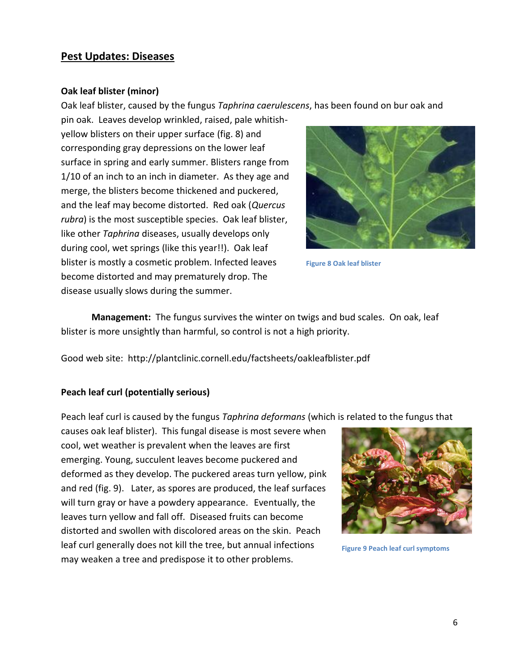## **Pest Updates: Diseases**

#### **Oak leaf blister (minor)**

Oak leaf blister, caused by the fungus *Taphrina caerulescens*, has been found on bur oak and

pin oak. Leaves develop wrinkled, raised, pale whitishyellow blisters on their upper surface (fig. 8) and corresponding gray depressions on the lower leaf surface in spring and early summer. Blisters range from 1/10 of an inch to an inch in diameter. As they age and merge, the blisters become thickened and puckered, and the leaf may become distorted. Red oak (*Quercus rubra*) is the most susceptible species. Oak leaf blister, like other *Taphrina* diseases, usually develops only during cool, wet springs (like this year!!). Oak leaf blister is mostly a cosmetic problem. Infected leaves become distorted and may prematurely drop. The disease usually slows during the summer.



**Figure 8 Oak leaf blister**

**Management:** The fungus survives the winter on twigs and bud scales. On oak, leaf blister is more unsightly than harmful, so control is not a high priority.

Good web site: http://plantclinic.cornell.edu/factsheets/oakleafblister.pdf

#### **Peach leaf curl (potentially serious)**

Peach leaf curl is caused by the fungus *Taphrina deformans* (which is related to the fungus that

causes oak leaf blister). This fungal disease is most severe when cool, wet weather is prevalent when the leaves are first emerging. Young, succulent leaves become puckered and deformed as they develop. The puckered areas turn yellow, pink and red (fig. 9). Later, as spores are produced, the leaf surfaces will turn gray or have a powdery appearance. Eventually, the leaves turn yellow and fall off. Diseased fruits can become distorted and swollen with discolored areas on the skin. Peach leaf curl generally does not kill the tree, but annual infections may weaken a tree and predispose it to other problems.



**Figure 9 Peach leaf curl symptoms**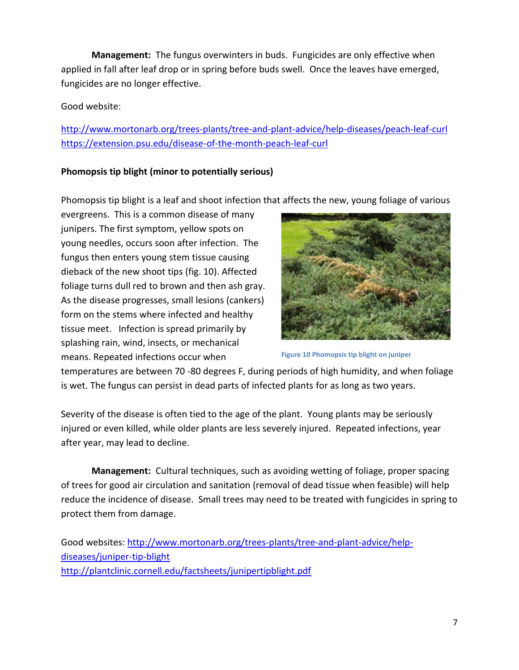**Management:** The fungus overwinters in buds. Fungicides are only effective when applied in fall after leaf drop or in spring before buds swell. Once the leaves have emerged, fungicides are no longer effective.

## Good website:

<http://www.mortonarb.org/trees-plants/tree-and-plant-advice/help-diseases/peach-leaf-curl> <https://extension.psu.edu/disease-of-the-month-peach-leaf-curl>

# **Phomopsis tip blight (minor to potentially serious)**

Phomopsis tip blight is a leaf and shoot infection that affects the new, young foliage of various

evergreens. This is a common disease of many junipers. The first symptom, yellow spots on young needles, occurs soon after infection. The fungus then enters young stem tissue causing dieback of the new shoot tips (fig. 10). Affected foliage turns dull red to brown and then ash gray. As the disease progresses, small lesions (cankers) form on the stems where infected and healthy tissue meet. Infection is spread primarily by splashing rain, wind, insects, or mechanical means. Repeated infections occur when



**Figure 10 Phomopsis tip blight on juniper**

temperatures are between 70 -80 degrees F, during periods of high humidity, and when foliage is wet. The fungus can persist in dead parts of infected plants for as long as two years.

Severity of the disease is often tied to the age of the plant. Young plants may be seriously injured or even killed, while older plants are less severely injured. Repeated infections, year after year, may lead to decline.

**Management:** Cultural techniques, such as avoiding wetting of foliage, proper spacing of trees for good air circulation and sanitation (removal of dead tissue when feasible) will help reduce the incidence of disease. Small trees may need to be treated with fungicides in spring to protect them from damage.

Good websites: [http://www.mortonarb.org/trees-plants/tree-and-plant-advice/help](http://www.mortonarb.org/trees-plants/tree-and-plant-advice/help-diseases/juniper-tip-blight)[diseases/juniper-tip-blight](http://www.mortonarb.org/trees-plants/tree-and-plant-advice/help-diseases/juniper-tip-blight) <http://plantclinic.cornell.edu/factsheets/junipertipblight.pdf>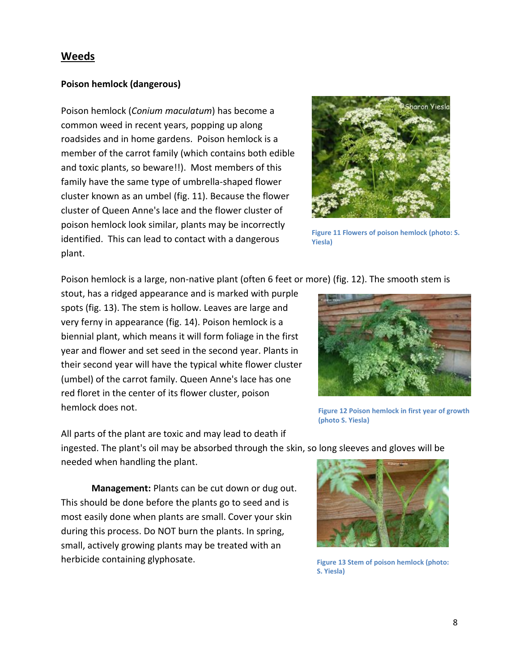# **Weeds**

#### **Poison hemlock (dangerous)**

Poison hemlock (*Conium maculatum*) has become a common weed in recent years, popping up along roadsides and in home gardens. Poison hemlock is a member of the carrot family (which contains both edible and toxic plants, so beware!!). Most members of this family have the same type of umbrella-shaped flower cluster known as an umbel (fig. 11). Because the flower cluster of Queen Anne's lace and the flower cluster of poison hemlock look similar, plants may be incorrectly identified. This can lead to contact with a dangerous plant.



**Figure 11 Flowers of poison hemlock (photo: S. Yiesla)**

Poison hemlock is a large, non-native plant (often 6 feet or more) (fig. 12). The smooth stem is

stout, has a ridged appearance and is marked with purple spots (fig. 13). The stem is hollow. Leaves are large and very ferny in appearance (fig. 14). Poison hemlock is a biennial plant, which means it will form foliage in the first year and flower and set seed in the second year. Plants in their second year will have the typical white flower cluster (umbel) of the carrot family. Queen Anne's lace has one red floret in the center of its flower cluster, poison hemlock does not.



**Figure 12 Poison hemlock in first year of growth (photo S. Yiesla)**

All parts of the plant are toxic and may lead to death if ingested. The plant's oil may be absorbed through the skin, so long sleeves and gloves will be needed when handling the plant.

**Management:** Plants can be cut down or dug out. This should be done before the plants go to seed and is most easily done when plants are small. Cover your skin during this process. Do NOT burn the plants. In spring, small, actively growing plants may be treated with an herbicide containing glyphosate.



**Figure 13 Stem of poison hemlock (photo: S. Yiesla)**